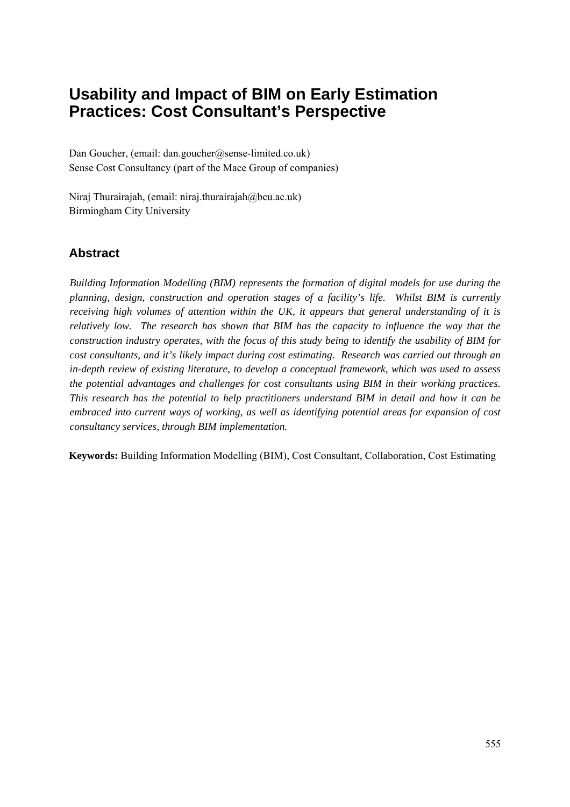# **Usability and Impact of BIM on Early Estimation Practices: Cost Consultant's Perspective**

Dan Goucher, (email: dan.goucher@sense-limited.co.uk) Sense Cost Consultancy (part of the Mace Group of companies)

Niraj Thurairajah, (email: niraj.thurairajah@bcu.ac.uk) Birmingham City University

### **Abstract**

*Building Information Modelling (BIM) represents the formation of digital models for use during the planning, design, construction and operation stages of a facility's life. Whilst BIM is currently receiving high volumes of attention within the UK, it appears that general understanding of it is relatively low. The research has shown that BIM has the capacity to influence the way that the construction industry operates, with the focus of this study being to identify the usability of BIM for cost consultants, and it's likely impact during cost estimating. Research was carried out through an in-depth review of existing literature, to develop a conceptual framework, which was used to assess the potential advantages and challenges for cost consultants using BIM in their working practices. This research has the potential to help practitioners understand BIM in detail and how it can be embraced into current ways of working, as well as identifying potential areas for expansion of cost consultancy services, through BIM implementation.* 

**Keywords:** Building Information Modelling (BIM), Cost Consultant, Collaboration, Cost Estimating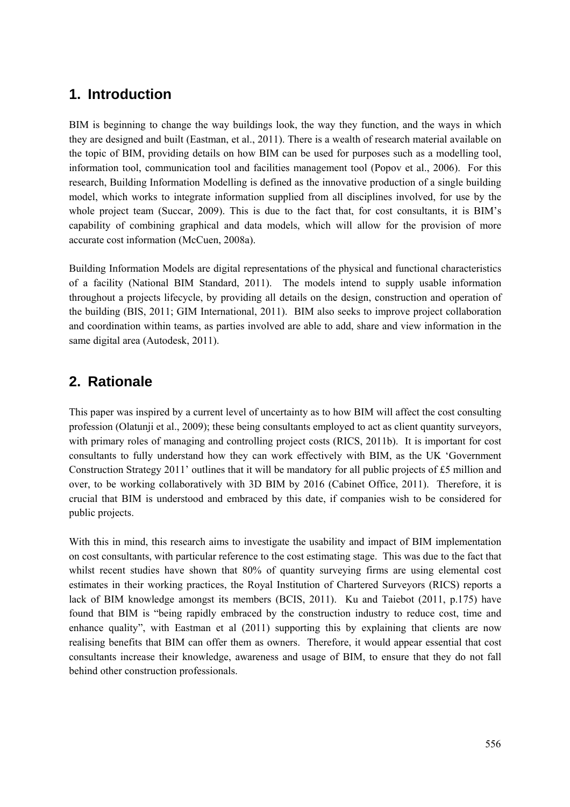### **1. Introduction**

BIM is beginning to change the way buildings look, the way they function, and the ways in which they are designed and built (Eastman, et al., 2011). There is a wealth of research material available on the topic of BIM, providing details on how BIM can be used for purposes such as a modelling tool, information tool, communication tool and facilities management tool (Popov et al., 2006). For this research, Building Information Modelling is defined as the innovative production of a single building model, which works to integrate information supplied from all disciplines involved, for use by the whole project team (Succar, 2009). This is due to the fact that, for cost consultants, it is BIM's capability of combining graphical and data models, which will allow for the provision of more accurate cost information (McCuen, 2008a).

Building Information Models are digital representations of the physical and functional characteristics of a facility (National BIM Standard, 2011). The models intend to supply usable information throughout a projects lifecycle, by providing all details on the design, construction and operation of the building (BIS, 2011; GIM International, 2011). BIM also seeks to improve project collaboration and coordination within teams, as parties involved are able to add, share and view information in the same digital area (Autodesk, 2011).

## **2. Rationale**

This paper was inspired by a current level of uncertainty as to how BIM will affect the cost consulting profession (Olatunji et al., 2009); these being consultants employed to act as client quantity surveyors, with primary roles of managing and controlling project costs (RICS, 2011b). It is important for cost consultants to fully understand how they can work effectively with BIM, as the UK 'Government Construction Strategy 2011' outlines that it will be mandatory for all public projects of £5 million and over, to be working collaboratively with 3D BIM by 2016 (Cabinet Office, 2011). Therefore, it is crucial that BIM is understood and embraced by this date, if companies wish to be considered for public projects.

With this in mind, this research aims to investigate the usability and impact of BIM implementation on cost consultants, with particular reference to the cost estimating stage. This was due to the fact that whilst recent studies have shown that 80% of quantity surveying firms are using elemental cost estimates in their working practices, the Royal Institution of Chartered Surveyors (RICS) reports a lack of BIM knowledge amongst its members (BCIS, 2011). Ku and Taiebot (2011, p.175) have found that BIM is "being rapidly embraced by the construction industry to reduce cost, time and enhance quality", with Eastman et al (2011) supporting this by explaining that clients are now realising benefits that BIM can offer them as owners. Therefore, it would appear essential that cost consultants increase their knowledge, awareness and usage of BIM, to ensure that they do not fall behind other construction professionals.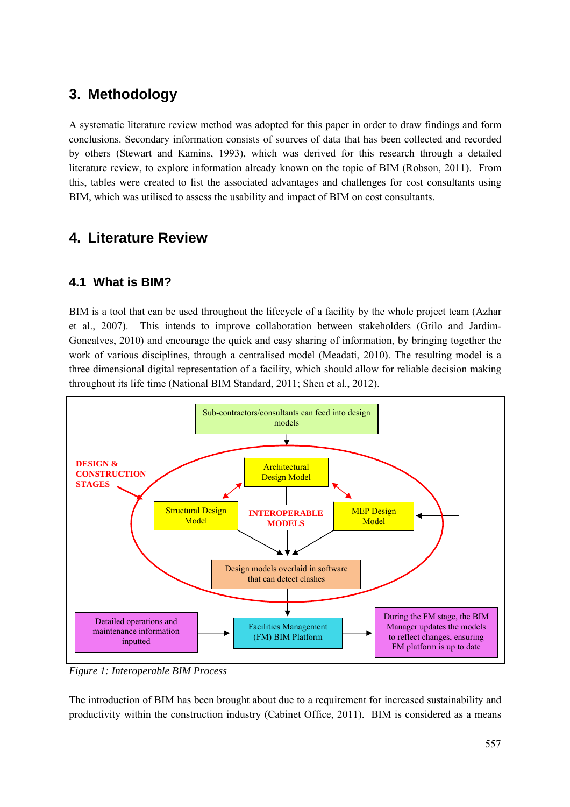## **3. Methodology**

A systematic literature review method was adopted for this paper in order to draw findings and form conclusions. Secondary information consists of sources of data that has been collected and recorded by others (Stewart and Kamins, 1993), which was derived for this research through a detailed literature review, to explore information already known on the topic of BIM (Robson, 2011). From this, tables were created to list the associated advantages and challenges for cost consultants using BIM, which was utilised to assess the usability and impact of BIM on cost consultants.

## **4. Literature Review**

### **4.1 What is BIM?**

BIM is a tool that can be used throughout the lifecycle of a facility by the whole project team (Azhar et al., 2007). This intends to improve collaboration between stakeholders (Grilo and Jardim-Goncalves, 2010) and encourage the quick and easy sharing of information, by bringing together the work of various disciplines, through a centralised model (Meadati, 2010). The resulting model is a three dimensional digital representation of a facility, which should allow for reliable decision making throughout its life time (National BIM Standard, 2011; Shen et al., 2012).



*Figure 1: Interoperable BIM Process*

The introduction of BIM has been brought about due to a requirement for increased sustainability and productivity within the construction industry (Cabinet Office, 2011). BIM is considered as a means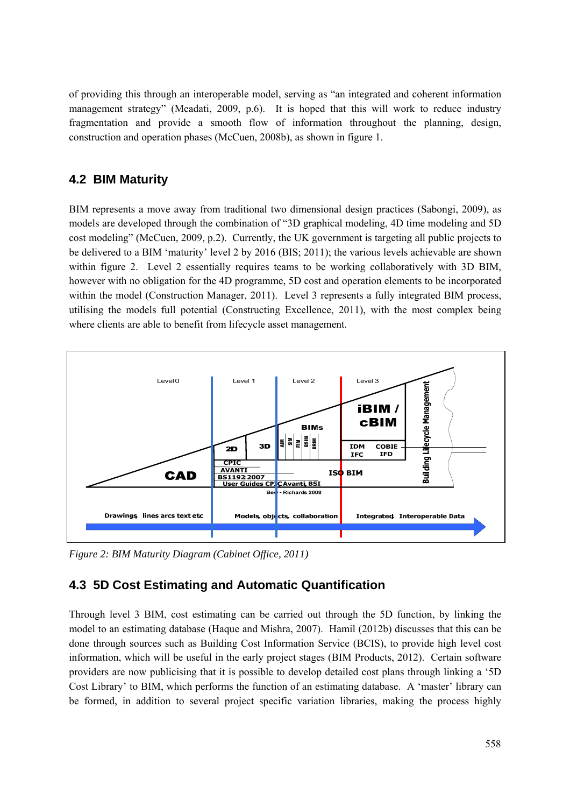of providing this through an interoperable model, serving as "an integrated and coherent information management strategy" (Meadati, 2009, p.6). It is hoped that this will work to reduce industry fragmentation and provide a smooth flow of information throughout the planning, design, construction and operation phases (McCuen, 2008b), as shown in figure 1.

#### **4.2 BIM Maturity**

BIM represents a move away from traditional two dimensional design practices (Sabongi, 2009), as models are developed through the combination of "3D graphical modeling, 4D time modeling and 5D cost modeling" (McCuen, 2009, p.2). Currently, the UK government is targeting all public projects to be delivered to a BIM 'maturity' level 2 by 2016 (BIS; 2011); the various levels achievable are shown within figure 2. Level 2 essentially requires teams to be working collaboratively with 3D BIM, however with no obligation for the 4D programme, 5D cost and operation elements to be incorporated within the model (Construction Manager, 2011). Level 3 represents a fully integrated BIM process, utilising the models full potential (Constructing Excellence, 2011), with the most complex being where clients are able to benefit from lifecycle asset management.



*Figure 2: BIM Maturity Diagram (Cabinet Office, 2011)* 

### **4.3 5D Cost Estimating and Automatic Quantification**

Through level 3 BIM, cost estimating can be carried out through the 5D function, by linking the model to an estimating database (Haque and Mishra, 2007). Hamil (2012b) discusses that this can be done through sources such as Building Cost Information Service (BCIS), to provide high level cost information, which will be useful in the early project stages (BIM Products, 2012). Certain software providers are now publicising that it is possible to develop detailed cost plans through linking a '5D Cost Library' to BIM, which performs the function of an estimating database. A 'master' library can be formed, in addition to several project specific variation libraries, making the process highly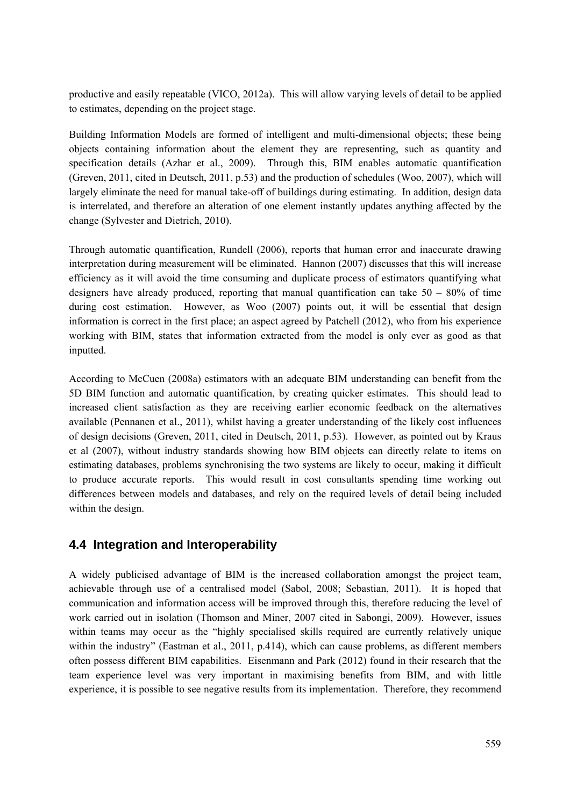productive and easily repeatable (VICO, 2012a). This will allow varying levels of detail to be applied to estimates, depending on the project stage.

Building Information Models are formed of intelligent and multi-dimensional objects; these being objects containing information about the element they are representing, such as quantity and specification details (Azhar et al., 2009). Through this, BIM enables automatic quantification (Greven, 2011, cited in Deutsch, 2011, p.53) and the production of schedules (Woo, 2007), which will largely eliminate the need for manual take-off of buildings during estimating. In addition, design data is interrelated, and therefore an alteration of one element instantly updates anything affected by the change (Sylvester and Dietrich, 2010).

Through automatic quantification, Rundell (2006), reports that human error and inaccurate drawing interpretation during measurement will be eliminated. Hannon (2007) discusses that this will increase efficiency as it will avoid the time consuming and duplicate process of estimators quantifying what designers have already produced, reporting that manual quantification can take  $50 - 80\%$  of time during cost estimation. However, as Woo (2007) points out, it will be essential that design information is correct in the first place; an aspect agreed by Patchell (2012), who from his experience working with BIM, states that information extracted from the model is only ever as good as that inputted.

According to McCuen (2008a) estimators with an adequate BIM understanding can benefit from the 5D BIM function and automatic quantification, by creating quicker estimates. This should lead to increased client satisfaction as they are receiving earlier economic feedback on the alternatives available (Pennanen et al., 2011), whilst having a greater understanding of the likely cost influences of design decisions (Greven, 2011, cited in Deutsch, 2011, p.53). However, as pointed out by Kraus et al (2007), without industry standards showing how BIM objects can directly relate to items on estimating databases, problems synchronising the two systems are likely to occur, making it difficult to produce accurate reports. This would result in cost consultants spending time working out differences between models and databases, and rely on the required levels of detail being included within the design.

#### **4.4 Integration and Interoperability**

A widely publicised advantage of BIM is the increased collaboration amongst the project team, achievable through use of a centralised model (Sabol, 2008; Sebastian, 2011). It is hoped that communication and information access will be improved through this, therefore reducing the level of work carried out in isolation (Thomson and Miner, 2007 cited in Sabongi, 2009). However, issues within teams may occur as the "highly specialised skills required are currently relatively unique within the industry" (Eastman et al., 2011, p.414), which can cause problems, as different members often possess different BIM capabilities. Eisenmann and Park (2012) found in their research that the team experience level was very important in maximising benefits from BIM, and with little experience, it is possible to see negative results from its implementation. Therefore, they recommend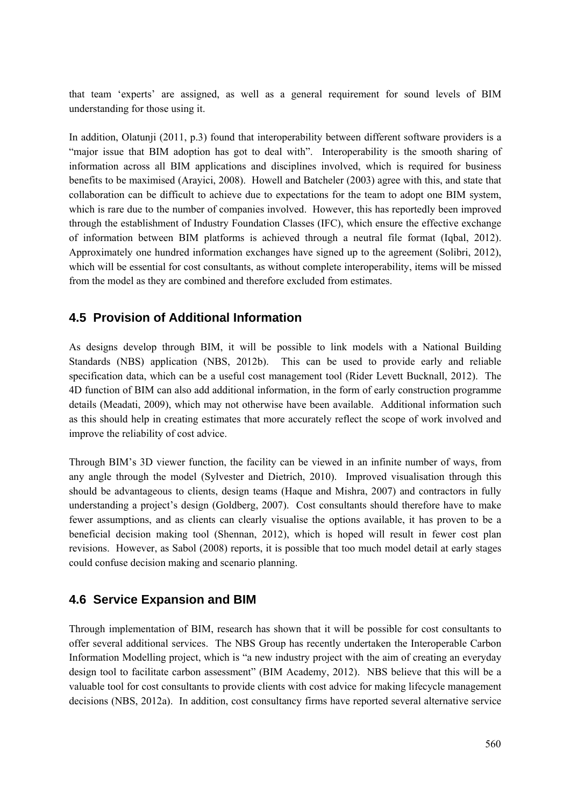that team 'experts' are assigned, as well as a general requirement for sound levels of BIM understanding for those using it.

In addition, Olatunji (2011, p.3) found that interoperability between different software providers is a "major issue that BIM adoption has got to deal with". Interoperability is the smooth sharing of information across all BIM applications and disciplines involved, which is required for business benefits to be maximised (Arayici, 2008). Howell and Batcheler (2003) agree with this, and state that collaboration can be difficult to achieve due to expectations for the team to adopt one BIM system, which is rare due to the number of companies involved. However, this has reportedly been improved through the establishment of Industry Foundation Classes (IFC), which ensure the effective exchange of information between BIM platforms is achieved through a neutral file format (Iqbal, 2012). Approximately one hundred information exchanges have signed up to the agreement (Solibri, 2012), which will be essential for cost consultants, as without complete interoperability, items will be missed from the model as they are combined and therefore excluded from estimates.

#### **4.5 Provision of Additional Information**

As designs develop through BIM, it will be possible to link models with a National Building Standards (NBS) application (NBS, 2012b). This can be used to provide early and reliable specification data, which can be a useful cost management tool (Rider Levett Bucknall, 2012). The 4D function of BIM can also add additional information, in the form of early construction programme details (Meadati, 2009), which may not otherwise have been available. Additional information such as this should help in creating estimates that more accurately reflect the scope of work involved and improve the reliability of cost advice.

Through BIM's 3D viewer function, the facility can be viewed in an infinite number of ways, from any angle through the model (Sylvester and Dietrich, 2010). Improved visualisation through this should be advantageous to clients, design teams (Haque and Mishra, 2007) and contractors in fully understanding a project's design (Goldberg, 2007). Cost consultants should therefore have to make fewer assumptions, and as clients can clearly visualise the options available, it has proven to be a beneficial decision making tool (Shennan, 2012), which is hoped will result in fewer cost plan revisions. However, as Sabol (2008) reports, it is possible that too much model detail at early stages could confuse decision making and scenario planning.

#### **4.6 Service Expansion and BIM**

Through implementation of BIM, research has shown that it will be possible for cost consultants to offer several additional services. The NBS Group has recently undertaken the Interoperable Carbon Information Modelling project, which is "a new industry project with the aim of creating an everyday design tool to facilitate carbon assessment" (BIM Academy, 2012). NBS believe that this will be a valuable tool for cost consultants to provide clients with cost advice for making lifecycle management decisions (NBS, 2012a). In addition, cost consultancy firms have reported several alternative service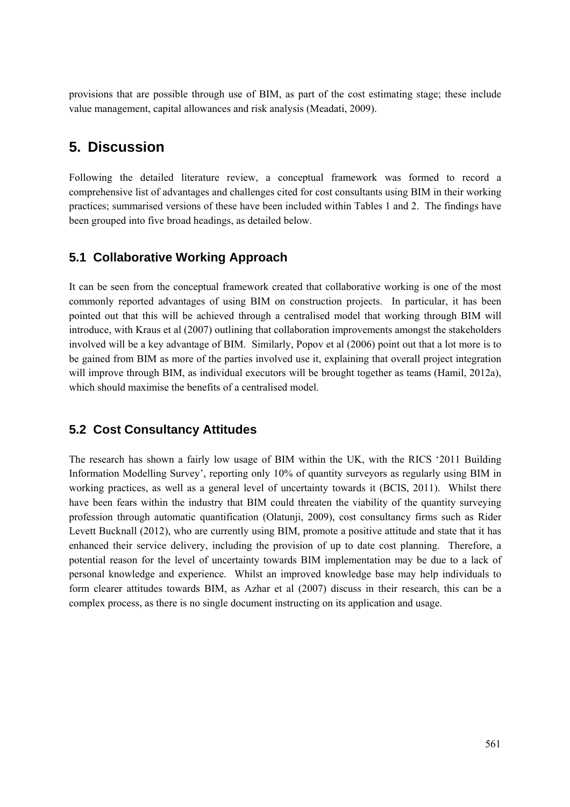provisions that are possible through use of BIM, as part of the cost estimating stage; these include value management, capital allowances and risk analysis (Meadati, 2009).

### **5. Discussion**

Following the detailed literature review, a conceptual framework was formed to record a comprehensive list of advantages and challenges cited for cost consultants using BIM in their working practices; summarised versions of these have been included within Tables 1 and 2. The findings have been grouped into five broad headings, as detailed below.

#### **5.1 Collaborative Working Approach**

It can be seen from the conceptual framework created that collaborative working is one of the most commonly reported advantages of using BIM on construction projects. In particular, it has been pointed out that this will be achieved through a centralised model that working through BIM will introduce, with Kraus et al (2007) outlining that collaboration improvements amongst the stakeholders involved will be a key advantage of BIM. Similarly, Popov et al (2006) point out that a lot more is to be gained from BIM as more of the parties involved use it, explaining that overall project integration will improve through BIM, as individual executors will be brought together as teams (Hamil, 2012a), which should maximise the benefits of a centralised model.

#### **5.2 Cost Consultancy Attitudes**

The research has shown a fairly low usage of BIM within the UK, with the RICS '2011 Building Information Modelling Survey', reporting only 10% of quantity surveyors as regularly using BIM in working practices, as well as a general level of uncertainty towards it (BCIS, 2011). Whilst there have been fears within the industry that BIM could threaten the viability of the quantity surveying profession through automatic quantification (Olatunji, 2009), cost consultancy firms such as Rider Levett Bucknall (2012), who are currently using BIM, promote a positive attitude and state that it has enhanced their service delivery, including the provision of up to date cost planning. Therefore, a potential reason for the level of uncertainty towards BIM implementation may be due to a lack of personal knowledge and experience. Whilst an improved knowledge base may help individuals to form clearer attitudes towards BIM, as Azhar et al (2007) discuss in their research, this can be a complex process, as there is no single document instructing on its application and usage.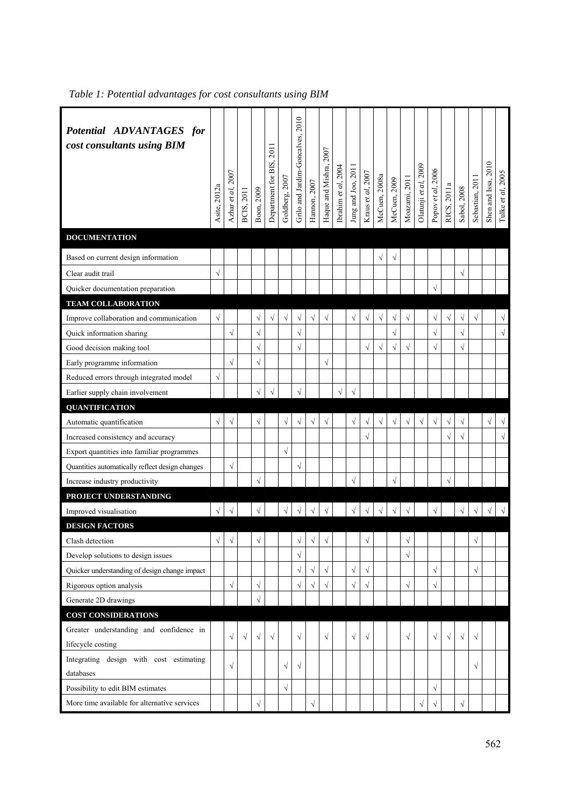| Potential ADVANTAGES for<br>cost consultants using BIM | Asite, 2012a | Azhar et al, 2007 | BCIS, 2011 | Boon, 2009 | 2011<br>Department for BIS, | Goldberg, 2007 | Grilo and Jardim-Goncalves, 2010 | Hannon, 2007 | Haque and Mishra, 2007 | Ibrahim et al, 2004 | Jung and Joo, 2011 | Kraus et al, $2007$ | McCuen, 2008a | McCuen, 2009 | Moazami, 2011        | Olatunji et al, 2009 | Popov et al, 2006 | RICS, 2011a | Sabol, 2008 | Sebastian, 2011 | Shen and Issa, 2010 | Tulke et al, 2005    |
|--------------------------------------------------------|--------------|-------------------|------------|------------|-----------------------------|----------------|----------------------------------|--------------|------------------------|---------------------|--------------------|---------------------|---------------|--------------|----------------------|----------------------|-------------------|-------------|-------------|-----------------|---------------------|----------------------|
| <b>DOCUMENTATION</b>                                   |              |                   |            |            |                             |                |                                  |              |                        |                     |                    |                     |               |              |                      |                      |                   |             |             |                 |                     |                      |
| Based on current design information                    |              |                   |            |            |                             |                |                                  |              |                        |                     |                    |                     | $\sqrt{}$     | $\sqrt{ }$   |                      |                      |                   |             |             |                 |                     |                      |
| Clear audit trail                                      | $\sqrt{}$    |                   |            |            |                             |                |                                  |              |                        |                     |                    |                     |               |              |                      |                      |                   |             | $\sqrt{}$   |                 |                     |                      |
| Quicker documentation preparation                      |              |                   |            |            |                             |                |                                  |              |                        |                     |                    |                     |               |              |                      |                      | $\sqrt{ }$        |             |             |                 |                     |                      |
| <b>TEAM COLLABORATION</b>                              |              |                   |            |            |                             |                |                                  |              |                        |                     |                    |                     |               |              |                      |                      |                   |             |             |                 |                     |                      |
| Improve collaboration and communication                | $\sqrt{}$    |                   |            | $\sqrt{}$  | $\sqrt{}$                   | $\sqrt{}$      | $\sqrt{}$                        | $\sqrt{}$    | $\sqrt{}$              |                     | $\sqrt{}$          | $\sqrt{}$           | $\sqrt{}$     | $\sqrt{ }$   | $\sqrt{}$            |                      | $\sqrt{}$         | $\sqrt{}$   | $\sqrt{}$   | $\sqrt{}$       |                     | $\sqrt{}$            |
| Quick information sharing                              |              | $\sqrt{}$         |            | $\sqrt{ }$ |                             |                | $\sqrt{ }$                       |              |                        |                     |                    |                     |               | $\sqrt{}$    |                      |                      | $\sqrt{ }$        |             | $\sqrt{ }$  |                 |                     | $\sqrt{\phantom{a}}$ |
| Good decision making tool                              |              |                   |            | $\sqrt{2}$ |                             |                | $\sqrt{}$                        |              |                        |                     |                    | √                   | $\sqrt{}$     | $\sqrt{}$    | $\sqrt{}$            |                      | $\sqrt{}$         |             | $\sqrt{ }$  |                 |                     |                      |
| Early programme information                            |              | $\sqrt{}$         |            | $\sqrt{}$  |                             |                |                                  |              | $\sqrt{}$              |                     |                    |                     |               |              |                      |                      |                   |             |             |                 |                     |                      |
| Reduced errors through integrated model                | $\sqrt{}$    |                   |            |            |                             |                |                                  |              |                        |                     |                    |                     |               |              |                      |                      |                   |             |             |                 |                     |                      |
| Earlier supply chain involvement                       |              |                   |            | $\sqrt{}$  | $\sqrt{2}$                  |                | $\sqrt{ }$                       |              |                        | $\sqrt{}$           | $\sqrt{}$          |                     |               |              |                      |                      |                   |             |             |                 |                     |                      |
| <b>QUANTIFICATION</b>                                  |              |                   |            |            |                             |                |                                  |              |                        |                     |                    |                     |               |              |                      |                      |                   |             |             |                 |                     |                      |
| Automatic quantification                               | ν            | $\sqrt{}$         |            | $\sqrt{}$  |                             | $\sqrt{}$      | $\sqrt{}$                        | $\sqrt{}$    | $\sqrt{}$              |                     | $\sqrt{}$          | V                   | $\sqrt{}$     | $\sqrt{}$    | $\sqrt{}$            | $\sqrt{}$            | $\sqrt{}$         | √           | $\sqrt{}$   |                 | $\sqrt{}$           | $\sqrt{}$            |
| Increased consistency and accuracy                     |              |                   |            |            |                             |                |                                  |              |                        |                     |                    | $\sqrt{2}$          |               |              |                      |                      |                   | $\sqrt{ }$  | $\sqrt{ }$  |                 |                     | $\sqrt{\phantom{a}}$ |
| Export quantities into familiar programmes             |              |                   |            |            |                             | $\sqrt{ }$     |                                  |              |                        |                     |                    |                     |               |              |                      |                      |                   |             |             |                 |                     |                      |
| Quantities automatically reflect design changes        |              | $\sqrt{}$         |            |            |                             |                | $\sqrt{}$                        |              |                        |                     |                    |                     |               |              |                      |                      |                   |             |             |                 |                     |                      |
| Increase industry productivity                         |              |                   |            | $\sqrt{}$  |                             |                |                                  |              |                        |                     | $\sqrt{}$          |                     |               | $\sqrt{}$    |                      |                      |                   |             |             |                 |                     |                      |
| PROJECT UNDERSTANDING                                  |              |                   |            |            |                             |                |                                  |              |                        |                     |                    |                     |               |              |                      |                      |                   |             |             |                 |                     |                      |
| Improved visualisation                                 |              | $\sqrt{}$         |            | $\sqrt{ }$ |                             |                | $\sqrt{\phantom{a}}$             |              | $\sqrt{ }$             |                     | $\sqrt{}$          | $\sqrt{}$           | $\sqrt{ }$    | $\sqrt{}$    | $\sqrt{\phantom{a}}$ |                      | $\sqrt{ }$        |             | $\sqrt{}$   | $\sqrt{}$       |                     | $\sqrt{ }$           |
| <b>DESIGN FACTORS</b>                                  |              |                   |            |            |                             |                |                                  |              |                        |                     |                    |                     |               |              |                      |                      |                   |             |             |                 |                     |                      |
| Clash detection                                        | $\sqrt{}$    | $\sqrt{}$         |            | $\sqrt{}$  |                             |                | $\sqrt{}$                        | $\sqrt{}$    | $\sqrt{}$              |                     |                    | $\sqrt{}$           |               |              | $\sqrt{}$            |                      |                   |             |             | $\sqrt{}$       |                     |                      |
| Develop solutions to design issues                     |              |                   |            |            |                             |                | $\sqrt{}$                        |              |                        |                     |                    |                     |               |              | $\sqrt{}$            |                      |                   |             |             |                 |                     |                      |
| Quicker understanding of design change impact          |              |                   |            |            |                             |                | $\sqrt{}$                        | $\sqrt{}$    | $\sqrt{}$              |                     | $\sqrt{}$          | $\sqrt{}$           |               |              |                      |                      | $\sqrt{}$         |             |             | $\sqrt{}$       |                     |                      |
| Rigorous option analysis                               |              | $\sqrt{}$         |            | $\sqrt{}$  |                             |                | $\sqrt{}$                        | $\sqrt{}$    | $\sqrt{}$              |                     | $\sqrt{}$          | $\sqrt{}$           |               |              | $\sqrt{}$            |                      | $\sqrt{}$         |             |             |                 |                     |                      |
| Generate 2D drawings                                   |              |                   |            | $\sqrt{ }$ |                             |                |                                  |              |                        |                     |                    |                     |               |              |                      |                      |                   |             |             |                 |                     |                      |
| <b>COST CONSIDERATIONS</b>                             |              |                   |            |            |                             |                |                                  |              |                        |                     |                    |                     |               |              |                      |                      |                   |             |             |                 |                     |                      |
| Greater understanding and confidence in                |              | $\sqrt{}$         | $\sqrt{}$  | $\sqrt{}$  | $\sqrt{}$                   |                | $\sqrt{}$                        |              | $\sqrt{}$              |                     | $\sqrt{}$          | $\sqrt{}$           |               |              | $\sqrt{}$            |                      | $\sqrt{}$         | $\sqrt{}$   | $\sqrt{}$   | $\sqrt{}$       |                     |                      |
| lifecycle costing                                      |              |                   |            |            |                             |                |                                  |              |                        |                     |                    |                     |               |              |                      |                      |                   |             |             |                 |                     |                      |
| Integrating design with cost estimating                |              | $\sqrt{}$         |            |            |                             | $\sqrt{}$      | $\sqrt{}$                        |              |                        |                     |                    |                     |               |              |                      |                      |                   |             |             | $\sqrt{}$       |                     |                      |
| databases                                              |              |                   |            |            |                             |                |                                  |              |                        |                     |                    |                     |               |              |                      |                      |                   |             |             |                 |                     |                      |
| Possibility to edit BIM estimates                      |              |                   |            |            |                             | $\sqrt{}$      |                                  |              |                        |                     |                    |                     |               |              |                      |                      | $\sqrt{}$         |             |             |                 |                     |                      |
| More time available for alternative services           |              |                   |            |            |                             |                |                                  |              |                        |                     |                    |                     |               |              |                      | $\sqrt{}$            | $\sqrt{ }$        |             |             |                 |                     |                      |

| Table 1: Potential advantages for cost consultants using BIM |  |  |  |  |  |
|--------------------------------------------------------------|--|--|--|--|--|
|--------------------------------------------------------------|--|--|--|--|--|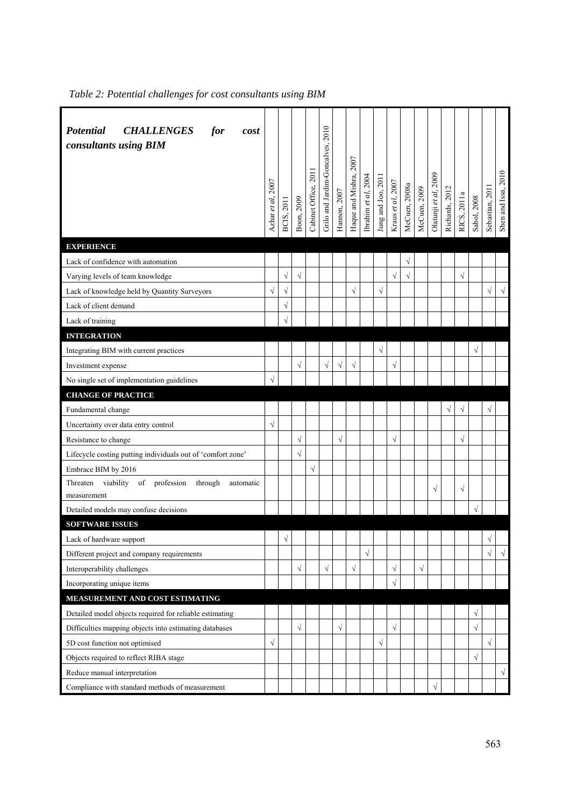| <b>Potential</b><br><b>CHALLENGES</b><br>for<br>cost<br>consultants using BIM | Azhar et al, 2007 | BCIS, 2011 | Boon, 2009 | Cabinet Office, 2011 | Grilo and Jardim-Goncalves, 2010 | Hannon, 2007 | Haque and Mishra, 2007 | Ibrahim et al, 2004 | Jung and Joo, 2011 | Kraus et al, 2007 | McCuen, 2008a | McCuen, 2009 | Olatunji et al, 2009 | Richards, 2012 | RICS, 2011a | Sabol, 2008 | Sebastian, 2011 | Shen and Issa, 2010 |
|-------------------------------------------------------------------------------|-------------------|------------|------------|----------------------|----------------------------------|--------------|------------------------|---------------------|--------------------|-------------------|---------------|--------------|----------------------|----------------|-------------|-------------|-----------------|---------------------|
| <b>EXPERIENCE</b>                                                             |                   |            |            |                      |                                  |              |                        |                     |                    |                   |               |              |                      |                |             |             |                 |                     |
| Lack of confidence with automation                                            |                   |            |            |                      |                                  |              |                        |                     |                    |                   | $\sqrt{}$     |              |                      |                |             |             |                 |                     |
| Varying levels of team knowledge                                              |                   | $\sqrt{ }$ | $\sqrt{}$  |                      |                                  |              |                        |                     |                    | $\sqrt{}$         | $\sqrt{}$     |              |                      |                | $\sqrt{}$   |             |                 |                     |
| Lack of knowledge held by Quantity Surveyors                                  | $\sqrt{}$         | $\sqrt{}$  |            |                      |                                  |              | $\sqrt{}$              |                     | $\sqrt{}$          |                   |               |              |                      |                |             |             | $\sqrt{}$       | $\sqrt{}$           |
| Lack of client demand                                                         |                   | $\sqrt{}$  |            |                      |                                  |              |                        |                     |                    |                   |               |              |                      |                |             |             |                 |                     |
| Lack of training                                                              |                   | $\sqrt{}$  |            |                      |                                  |              |                        |                     |                    |                   |               |              |                      |                |             |             |                 |                     |
| <b>INTEGRATION</b>                                                            |                   |            |            |                      |                                  |              |                        |                     |                    |                   |               |              |                      |                |             |             |                 |                     |
| Integrating BIM with current practices                                        |                   |            |            |                      |                                  |              |                        |                     | $\sqrt{}$          |                   |               |              |                      |                |             | $\sqrt{}$   |                 |                     |
| Investment expense                                                            |                   |            | $\sqrt{}$  |                      | $\sqrt{}$                        | $\sqrt{}$    | $\sqrt{}$              |                     |                    | $\sqrt{}$         |               |              |                      |                |             |             |                 |                     |
| No single set of implementation guidelines                                    |                   |            |            |                      |                                  |              |                        |                     |                    |                   |               |              |                      |                |             |             |                 |                     |
| <b>CHANGE OF PRACTICE</b>                                                     |                   |            |            |                      |                                  |              |                        |                     |                    |                   |               |              |                      |                |             |             |                 |                     |
| Fundamental change                                                            |                   |            |            |                      |                                  |              |                        |                     |                    |                   |               |              |                      | $\sqrt{}$      | $\sqrt{}$   |             | $\sqrt{}$       |                     |
| Uncertainty over data entry control                                           |                   |            |            |                      |                                  |              |                        |                     |                    |                   |               |              |                      |                |             |             |                 |                     |
| Resistance to change                                                          |                   |            | $\sqrt{}$  |                      |                                  | $\sqrt{ }$   |                        |                     |                    | $\sqrt{}$         |               |              |                      |                | $\sqrt{}$   |             |                 |                     |
| Lifecycle costing putting individuals out of 'comfort zone'                   |                   |            | $\sqrt{}$  |                      |                                  |              |                        |                     |                    |                   |               |              |                      |                |             |             |                 |                     |
| Embrace BIM by 2016                                                           |                   |            |            | $\sqrt{}$            |                                  |              |                        |                     |                    |                   |               |              |                      |                |             |             |                 |                     |
| viability<br>of<br>profession<br>through<br>automatic<br>Threaten             |                   |            |            |                      |                                  |              |                        |                     |                    |                   |               |              | $\sqrt{}$            |                | $\sqrt{}$   |             |                 |                     |
| measurement                                                                   |                   |            |            |                      |                                  |              |                        |                     |                    |                   |               |              |                      |                |             |             |                 |                     |
| Detailed models may confuse decisions                                         |                   |            |            |                      |                                  |              |                        |                     |                    |                   |               |              |                      |                |             | $\sqrt{}$   |                 |                     |
| <b>SOFTWARE ISSUES</b>                                                        |                   |            |            |                      |                                  |              |                        |                     |                    |                   |               |              |                      |                |             |             |                 |                     |
| Lack of hardware support                                                      |                   | $\sqrt{}$  |            |                      |                                  |              |                        |                     |                    |                   |               |              |                      |                |             |             | V               |                     |
| Different project and company requirements                                    |                   |            |            |                      |                                  |              |                        | $\sqrt{}$           |                    |                   |               |              |                      |                |             |             | $\sqrt{}$       | $\sqrt{ }$          |
| Interoperability challenges                                                   |                   |            | $\sqrt{}$  |                      | $\sqrt{}$                        |              | $\sqrt{}$              |                     |                    | $\sqrt{}$         |               | $\sqrt{}$    |                      |                |             |             |                 |                     |
| Incorporating unique items                                                    |                   |            |            |                      |                                  |              |                        |                     |                    | $\sqrt{}$         |               |              |                      |                |             |             |                 |                     |
| MEASUREMENT AND COST ESTIMATING                                               |                   |            |            |                      |                                  |              |                        |                     |                    |                   |               |              |                      |                |             |             |                 |                     |
| Detailed model objects required for reliable estimating                       |                   |            |            |                      |                                  |              |                        |                     |                    |                   |               |              |                      |                |             | $\sqrt{}$   |                 |                     |
| Difficulties mapping objects into estimating databases                        |                   |            | $\sqrt{}$  |                      |                                  | $\sqrt{ }$   |                        |                     |                    | $\sqrt{}$         |               |              |                      |                |             | $\sqrt{}$   |                 |                     |
| 5D cost function not optimised                                                |                   |            |            |                      |                                  |              |                        |                     | $\sqrt{}$          |                   |               |              |                      |                |             |             | $\sqrt{}$       |                     |
| Objects required to reflect RIBA stage                                        |                   |            |            |                      |                                  |              |                        |                     |                    |                   |               |              |                      |                |             | $\sqrt{}$   |                 |                     |
| Reduce manual interpretation                                                  |                   |            |            |                      |                                  |              |                        |                     |                    |                   |               |              |                      |                |             |             |                 | $\sqrt{ }$          |
| Compliance with standard methods of measurement                               |                   |            |            |                      |                                  |              |                        |                     |                    |                   |               |              | $\sqrt{\phantom{a}}$ |                |             |             |                 |                     |

*Table 2: Potential challenges for cost consultants using BIM*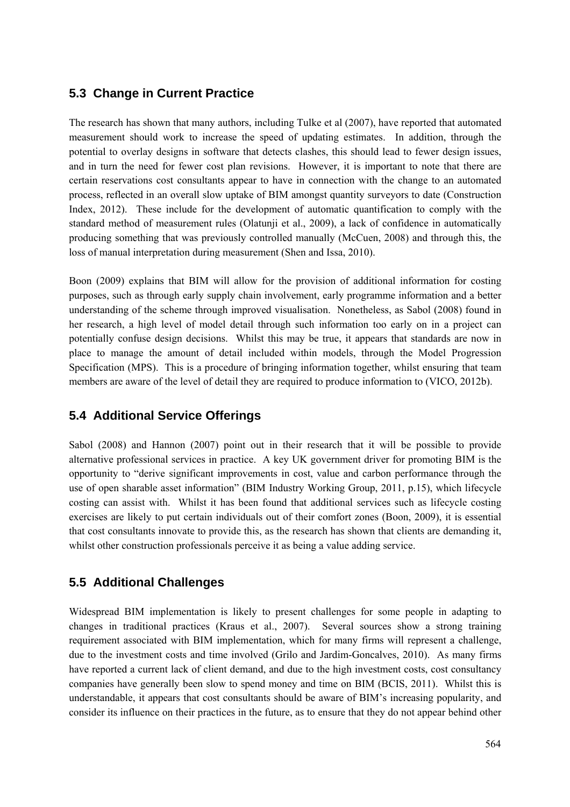#### **5.3 Change in Current Practice**

The research has shown that many authors, including Tulke et al (2007), have reported that automated measurement should work to increase the speed of updating estimates. In addition, through the potential to overlay designs in software that detects clashes, this should lead to fewer design issues, and in turn the need for fewer cost plan revisions. However, it is important to note that there are certain reservations cost consultants appear to have in connection with the change to an automated process, reflected in an overall slow uptake of BIM amongst quantity surveyors to date (Construction Index, 2012). These include for the development of automatic quantification to comply with the standard method of measurement rules (Olatunji et al., 2009), a lack of confidence in automatically producing something that was previously controlled manually (McCuen, 2008) and through this, the loss of manual interpretation during measurement (Shen and Issa, 2010).

Boon (2009) explains that BIM will allow for the provision of additional information for costing purposes, such as through early supply chain involvement, early programme information and a better understanding of the scheme through improved visualisation. Nonetheless, as Sabol (2008) found in her research, a high level of model detail through such information too early on in a project can potentially confuse design decisions. Whilst this may be true, it appears that standards are now in place to manage the amount of detail included within models, through the Model Progression Specification (MPS). This is a procedure of bringing information together, whilst ensuring that team members are aware of the level of detail they are required to produce information to (VICO, 2012b).

#### **5.4 Additional Service Offerings**

Sabol (2008) and Hannon (2007) point out in their research that it will be possible to provide alternative professional services in practice. A key UK government driver for promoting BIM is the opportunity to "derive significant improvements in cost, value and carbon performance through the use of open sharable asset information" (BIM Industry Working Group, 2011, p.15), which lifecycle costing can assist with. Whilst it has been found that additional services such as lifecycle costing exercises are likely to put certain individuals out of their comfort zones (Boon, 2009), it is essential that cost consultants innovate to provide this, as the research has shown that clients are demanding it, whilst other construction professionals perceive it as being a value adding service.

#### **5.5 Additional Challenges**

Widespread BIM implementation is likely to present challenges for some people in adapting to changes in traditional practices (Kraus et al., 2007). Several sources show a strong training requirement associated with BIM implementation, which for many firms will represent a challenge, due to the investment costs and time involved (Grilo and Jardim-Goncalves, 2010). As many firms have reported a current lack of client demand, and due to the high investment costs, cost consultancy companies have generally been slow to spend money and time on BIM (BCIS, 2011). Whilst this is understandable, it appears that cost consultants should be aware of BIM's increasing popularity, and consider its influence on their practices in the future, as to ensure that they do not appear behind other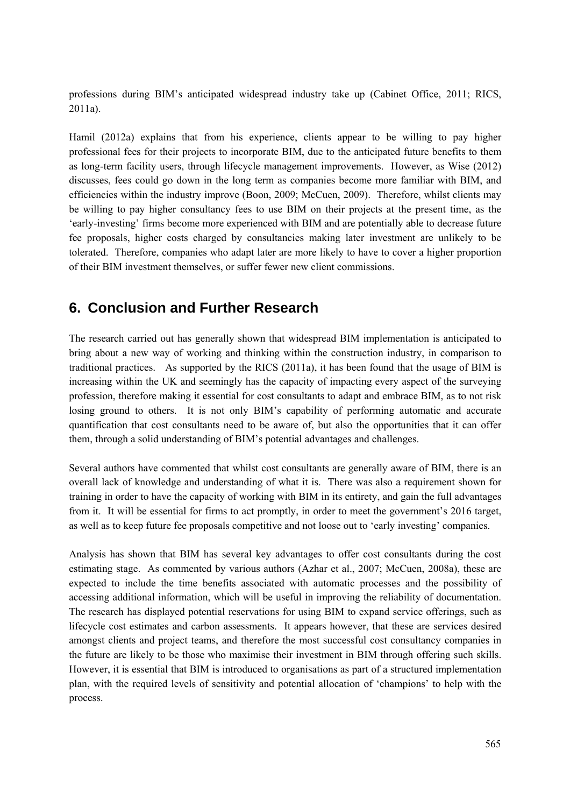professions during BIM's anticipated widespread industry take up (Cabinet Office, 2011; RICS, 2011a).

Hamil (2012a) explains that from his experience, clients appear to be willing to pay higher professional fees for their projects to incorporate BIM, due to the anticipated future benefits to them as long-term facility users, through lifecycle management improvements. However, as Wise (2012) discusses, fees could go down in the long term as companies become more familiar with BIM, and efficiencies within the industry improve (Boon, 2009; McCuen, 2009). Therefore, whilst clients may be willing to pay higher consultancy fees to use BIM on their projects at the present time, as the 'early-investing' firms become more experienced with BIM and are potentially able to decrease future fee proposals, higher costs charged by consultancies making later investment are unlikely to be tolerated. Therefore, companies who adapt later are more likely to have to cover a higher proportion of their BIM investment themselves, or suffer fewer new client commissions.

## **6. Conclusion and Further Research**

The research carried out has generally shown that widespread BIM implementation is anticipated to bring about a new way of working and thinking within the construction industry, in comparison to traditional practices. As supported by the RICS (2011a), it has been found that the usage of BIM is increasing within the UK and seemingly has the capacity of impacting every aspect of the surveying profession, therefore making it essential for cost consultants to adapt and embrace BIM, as to not risk losing ground to others. It is not only BIM's capability of performing automatic and accurate quantification that cost consultants need to be aware of, but also the opportunities that it can offer them, through a solid understanding of BIM's potential advantages and challenges.

Several authors have commented that whilst cost consultants are generally aware of BIM, there is an overall lack of knowledge and understanding of what it is. There was also a requirement shown for training in order to have the capacity of working with BIM in its entirety, and gain the full advantages from it. It will be essential for firms to act promptly, in order to meet the government's 2016 target, as well as to keep future fee proposals competitive and not loose out to 'early investing' companies.

Analysis has shown that BIM has several key advantages to offer cost consultants during the cost estimating stage. As commented by various authors (Azhar et al., 2007; McCuen, 2008a), these are expected to include the time benefits associated with automatic processes and the possibility of accessing additional information, which will be useful in improving the reliability of documentation. The research has displayed potential reservations for using BIM to expand service offerings, such as lifecycle cost estimates and carbon assessments. It appears however, that these are services desired amongst clients and project teams, and therefore the most successful cost consultancy companies in the future are likely to be those who maximise their investment in BIM through offering such skills. However, it is essential that BIM is introduced to organisations as part of a structured implementation plan, with the required levels of sensitivity and potential allocation of 'champions' to help with the process.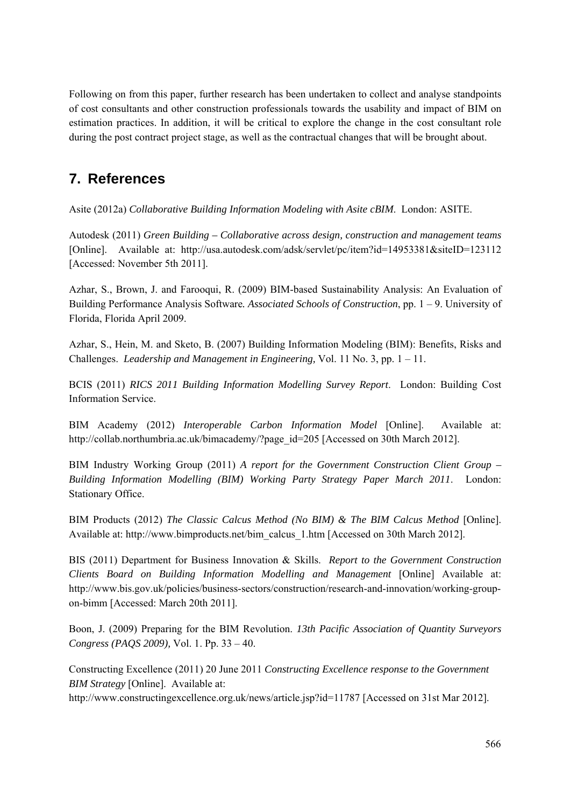Following on from this paper, further research has been undertaken to collect and analyse standpoints of cost consultants and other construction professionals towards the usability and impact of BIM on estimation practices. In addition, it will be critical to explore the change in the cost consultant role during the post contract project stage, as well as the contractual changes that will be brought about.

## **7. References**

Asite (2012a) *Collaborative Building Information Modeling with Asite cBIM*. London: ASITE.

Autodesk (2011) *Green Building – Collaborative across design, construction and management teams* [Online]. Available at: http://usa.autodesk.com/adsk/servlet/pc/item?id=14953381&siteID=123112 [Accessed: November 5th 2011].

Azhar, S., Brown, J. and Farooqui, R. (2009) BIM-based Sustainability Analysis: An Evaluation of Building Performance Analysis Software*. Associated Schools of Construction*, pp. 1 – 9. University of Florida, Florida April 2009.

Azhar, S., Hein, M. and Sketo, B. (2007) Building Information Modeling (BIM): Benefits, Risks and Challenges. *Leadership and Management in Engineering,* Vol. 11 No. 3, pp. 1 – 11.

BCIS (2011) *RICS 2011 Building Information Modelling Survey Report*. London: Building Cost Information Service.

BIM Academy (2012) *Interoperable Carbon Information Model* [Online]. Available at: http://collab.northumbria.ac.uk/bimacademy/?page\_id=205 [Accessed on 30th March 2012].

BIM Industry Working Group (2011) *A report for the Government Construction Client Group – Building Information Modelling (BIM) Working Party Strategy Paper March 2011*. London: Stationary Office.

BIM Products (2012) *The Classic Calcus Method (No BIM) & The BIM Calcus Method* [Online]. Available at: http://www.bimproducts.net/bim\_calcus\_1.htm [Accessed on 30th March 2012].

BIS (2011) Department for Business Innovation & Skills. *Report to the Government Construction Clients Board on Building Information Modelling and Management* [Online] Available at: http://www.bis.gov.uk/policies/business-sectors/construction/research-and-innovation/working-groupon-bimm [Accessed: March 20th 2011].

Boon, J. (2009) Preparing for the BIM Revolution. *13th Pacific Association of Quantity Surveyors Congress (PAQS 2009),* Vol. 1. Pp. 33 – 40.

Constructing Excellence (2011) 20 June 2011 *Constructing Excellence response to the Government BIM Strategy* [Online]. Available at:

http://www.constructingexcellence.org.uk/news/article.jsp?id=11787 [Accessed on 31st Mar 2012].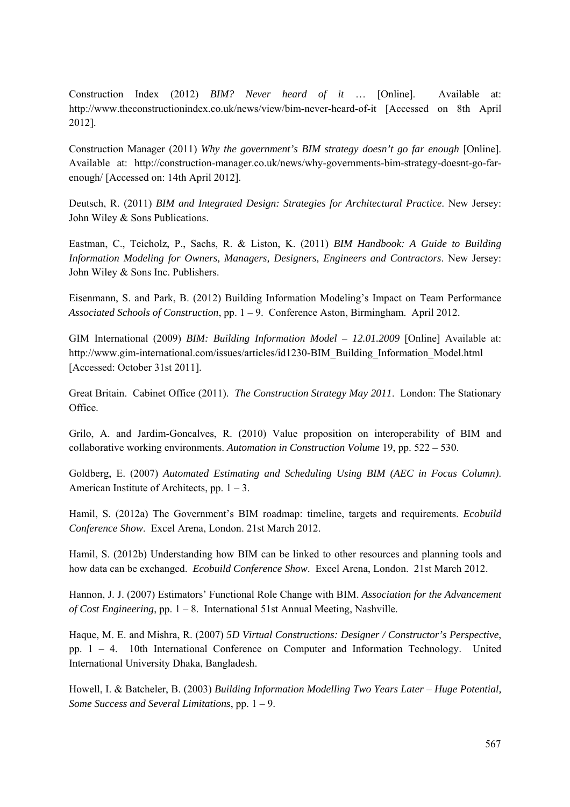Construction Index (2012) *BIM? Never heard of it* … [Online]. Available at: http://www.theconstructionindex.co.uk/news/view/bim-never-heard-of-it [Accessed on 8th April 2012].

Construction Manager (2011) *Why the government's BIM strategy doesn't go far enough* [Online]. Available at: http://construction-manager.co.uk/news/why-governments-bim-strategy-doesnt-go-farenough/ [Accessed on: 14th April 2012].

Deutsch, R. (2011) *BIM and Integrated Design: Strategies for Architectural Practice*. New Jersey: John Wiley & Sons Publications.

Eastman, C., Teicholz, P., Sachs, R. & Liston, K. (2011) *BIM Handbook: A Guide to Building Information Modeling for Owners, Managers, Designers, Engineers and Contractors*. New Jersey: John Wiley & Sons Inc. Publishers.

Eisenmann, S. and Park, B. (2012) Building Information Modeling's Impact on Team Performance *Associated Schools of Construction*, pp. 1 – 9. Conference Aston, Birmingham. April 2012.

GIM International (2009) *BIM: Building Information Model – 12.01.2009* [Online] Available at: http://www.gim-international.com/issues/articles/id1230-BIM\_Building\_Information\_Model.html [Accessed: October 31st 2011].

Great Britain. Cabinet Office (2011). *The Construction Strategy May 2011*. London: The Stationary Office.

Grilo, A. and Jardim-Goncalves, R. (2010) Value proposition on interoperability of BIM and collaborative working environments. *Automation in Construction Volume* 19, pp. 522 – 530.

Goldberg, E. (2007) *Automated Estimating and Scheduling Using BIM (AEC in Focus Column)*. American Institute of Architects, pp.  $1 - 3$ .

Hamil, S. (2012a) The Government's BIM roadmap: timeline, targets and requirements. *Ecobuild Conference Show*. Excel Arena, London. 21st March 2012.

Hamil, S. (2012b) Understanding how BIM can be linked to other resources and planning tools and how data can be exchanged. *Ecobuild Conference Show*. Excel Arena, London. 21st March 2012.

Hannon, J. J. (2007) Estimators' Functional Role Change with BIM. *Association for the Advancement of Cost Engineering*, pp. 1 – 8. International 51st Annual Meeting, Nashville.

Haque, M. E. and Mishra, R. (2007) *5D Virtual Constructions: Designer / Constructor's Perspective*, pp. 1 – 4. 10th International Conference on Computer and Information Technology. United International University Dhaka, Bangladesh.

Howell, I. & Batcheler, B. (2003) *Building Information Modelling Two Years Later – Huge Potential, Some Success and Several Limitations*, pp. 1 – 9.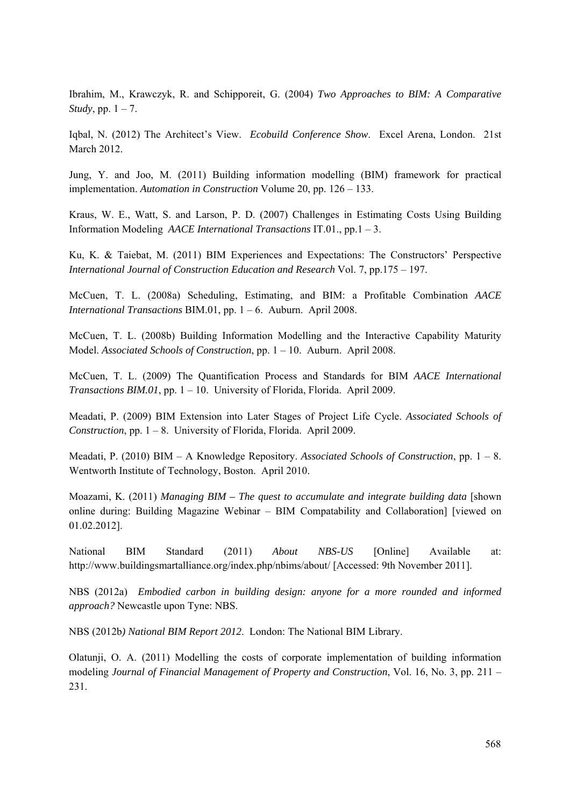Ibrahim, M., Krawczyk, R. and Schipporeit, G. (2004) *Two Approaches to BIM: A Comparative Study*, pp. 1 – 7.

Iqbal, N. (2012) The Architect's View. *Ecobuild Conference Show*. Excel Arena, London. 21st March 2012.

Jung, Y. and Joo, M. (2011) Building information modelling (BIM) framework for practical implementation. *Automation in Construction* Volume 20, pp. 126 – 133.

Kraus, W. E., Watt, S. and Larson, P. D. (2007) Challenges in Estimating Costs Using Building Information Modeling *AACE International Transactions* IT.01., pp.1 – 3.

Ku, K. & Taiebat, M. (2011) BIM Experiences and Expectations: The Constructors' Perspective *International Journal of Construction Education and Research* Vol. 7, pp.175 – 197.

McCuen, T. L. (2008a) Scheduling, Estimating, and BIM: a Profitable Combination *AACE International Transactions* BIM.01, pp. 1 – 6. Auburn. April 2008.

McCuen, T. L. (2008b) Building Information Modelling and the Interactive Capability Maturity Model. *Associated Schools of Construction*, pp. 1 – 10. Auburn. April 2008.

McCuen, T. L. (2009) The Quantification Process and Standards for BIM *AACE International Transactions BIM.01*, pp. 1 – 10. University of Florida, Florida. April 2009.

Meadati, P. (2009) BIM Extension into Later Stages of Project Life Cycle. *Associated Schools of Construction*, pp. 1 – 8. University of Florida, Florida. April 2009.

Meadati, P. (2010) BIM – A Knowledge Repository. *Associated Schools of Construction*, pp. 1 – 8. Wentworth Institute of Technology, Boston. April 2010.

Moazami, K. (2011) *Managing BIM – The quest to accumulate and integrate building data* [shown online during: Building Magazine Webinar – BIM Compatability and Collaboration] [viewed on 01.02.2012].

National BIM Standard (2011) *About NBS-US* [Online] Available at: http://www.buildingsmartalliance.org/index.php/nbims/about/ [Accessed: 9th November 2011].

NBS (2012a) *Embodied carbon in building design: anyone for a more rounded and informed approach?* Newcastle upon Tyne: NBS.

NBS (2012b*) National BIM Report 2012*. London: The National BIM Library.

Olatunji, O. A. (2011) Modelling the costs of corporate implementation of building information modeling *Journal of Financial Management of Property and Construction*, Vol. 16, No. 3, pp. 211 – 231.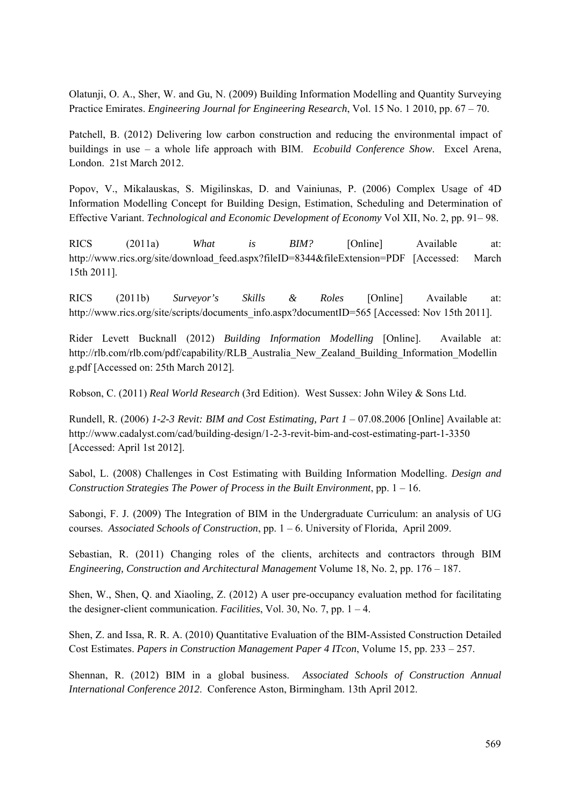Olatunji, O. A., Sher, W. and Gu, N. (2009) Building Information Modelling and Quantity Surveying Practice Emirates. *Engineering Journal for Engineering Research*, Vol. 15 No. 1 2010, pp. 67 – 70.

Patchell, B. (2012) Delivering low carbon construction and reducing the environmental impact of buildings in use – a whole life approach with BIM. *Ecobuild Conference Show*. Excel Arena, London. 21st March 2012.

Popov, V., Mikalauskas, S. Migilinskas, D. and Vainiunas, P. (2006) Complex Usage of 4D Information Modelling Concept for Building Design, Estimation, Scheduling and Determination of Effective Variant. *Technological and Economic Development of Economy* Vol XII, No. 2, pp. 91– 98.

RICS (2011a) *What is BIM?* [Online] Available at: http://www.rics.org/site/download\_feed.aspx?fileID=8344&fileExtension=PDF [Accessed: March] 15th 2011].

RICS (2011b) *Surveyor's Skills & Roles* [Online] Available at: http://www.rics.org/site/scripts/documents\_info.aspx?documentID=565 [Accessed: Nov 15th 2011].

Rider Levett Bucknall (2012) *Building Information Modelling* [Online]. Available at: http://rlb.com/rlb.com/pdf/capability/RLB\_Australia\_New\_Zealand\_Building\_Information\_Modellin g.pdf [Accessed on: 25th March 2012].

Robson, C. (2011) *Real World Research* (3rd Edition). West Sussex: John Wiley & Sons Ltd.

Rundell, R. (2006) *1-2-3 Revit: BIM and Cost Estimating, Part 1* – 07.08.2006 [Online] Available at: http://www.cadalyst.com/cad/building-design/1-2-3-revit-bim-and-cost-estimating-part-1-3350 [Accessed: April 1st 2012].

Sabol, L. (2008) Challenges in Cost Estimating with Building Information Modelling. *Design and Construction Strategies The Power of Process in the Built Environment*, pp. 1 – 16.

Sabongi, F. J. (2009) The Integration of BIM in the Undergraduate Curriculum: an analysis of UG courses. *Associated Schools of Construction*, pp. 1 – 6. University of Florida, April 2009.

Sebastian, R. (2011) Changing roles of the clients, architects and contractors through BIM *Engineering, Construction and Architectural Management* Volume 18, No. 2, pp. 176 – 187.

Shen, W., Shen, Q. and Xiaoling, Z. (2012) A user pre-occupancy evaluation method for facilitating the designer-client communication. *Facilities*, Vol. 30, No. 7, pp.  $1 - 4$ .

Shen, Z. and Issa, R. R. A. (2010) Quantitative Evaluation of the BIM-Assisted Construction Detailed Cost Estimates. *Papers in Construction Management Paper 4 ITcon*, Volume 15, pp. 233 – 257.

Shennan, R. (2012) BIM in a global business. *Associated Schools of Construction Annual International Conference 2012*. Conference Aston, Birmingham. 13th April 2012.